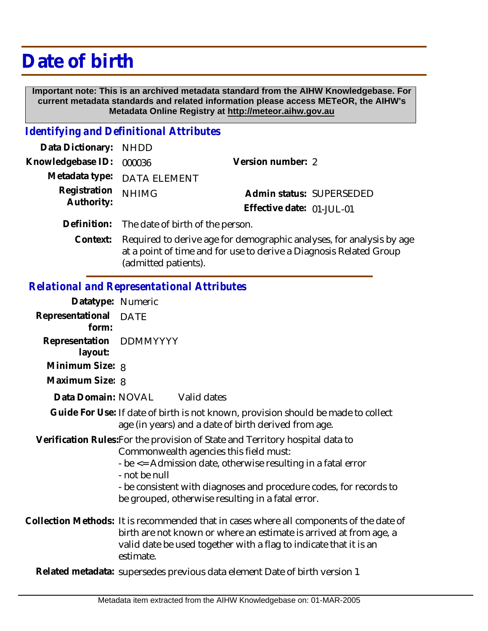# **Date of birth**

 **Important note: This is an archived metadata standard from the AIHW Knowledgebase. For current metadata standards and related information please access METeOR, the AIHW's Metadata Online Registry at http://meteor.aihw.gov.au**

#### *Identifying and Definitional Attributes*

| Data Dictionary: NHDD    |                                              |                           |  |
|--------------------------|----------------------------------------------|---------------------------|--|
| Knowledgebase ID: 000036 |                                              | Version number: 2         |  |
|                          | Metadata type: DATA ELEMENT                  |                           |  |
| Registration NHIMG       |                                              | Admin status: SUPERSEDED  |  |
| Authority:               |                                              | Effective date: 01-JUL-01 |  |
|                          | Definition: The date of birth of the person. |                           |  |

Required to derive age for demographic analyses, for analysis by age at a point of time and for use to derive a Diagnosis Related Group (admitted patients). **Context:**

#### *Relational and Representational Attributes*

| Datatype: Numeric                  |                                                                                                                                                                                                                                                                                                                                     |
|------------------------------------|-------------------------------------------------------------------------------------------------------------------------------------------------------------------------------------------------------------------------------------------------------------------------------------------------------------------------------------|
| Representational<br>form:          | <b>DATE</b>                                                                                                                                                                                                                                                                                                                         |
| Representation<br>layout:          | DDMMYYYY                                                                                                                                                                                                                                                                                                                            |
| Minimum Size: 8<br>Maximum Size: 8 |                                                                                                                                                                                                                                                                                                                                     |
|                                    | Data Domain: NOVAL Valid dates                                                                                                                                                                                                                                                                                                      |
|                                    | Guide For Use: If date of birth is not known, provision should be made to collect<br>age (in years) and a date of birth derived from age.                                                                                                                                                                                           |
|                                    | Verification Rules: For the provision of State and Territory hospital data to<br>Commonwealth agencies this field must:<br>- be <= Admission date, otherwise resulting in a fatal error<br>- not be null<br>- be consistent with diagnoses and procedure codes, for records to<br>be grouped, otherwise resulting in a fatal error. |
|                                    | Collection Methods: It is recommended that in cases where all components of the date of<br>birth are not known or where an estimate is arrived at from age, a<br>valid date be used together with a flag to indicate that it is an<br>estimate.                                                                                     |
|                                    | Related metadata: supersedes previous data element Date of birth version 1                                                                                                                                                                                                                                                          |